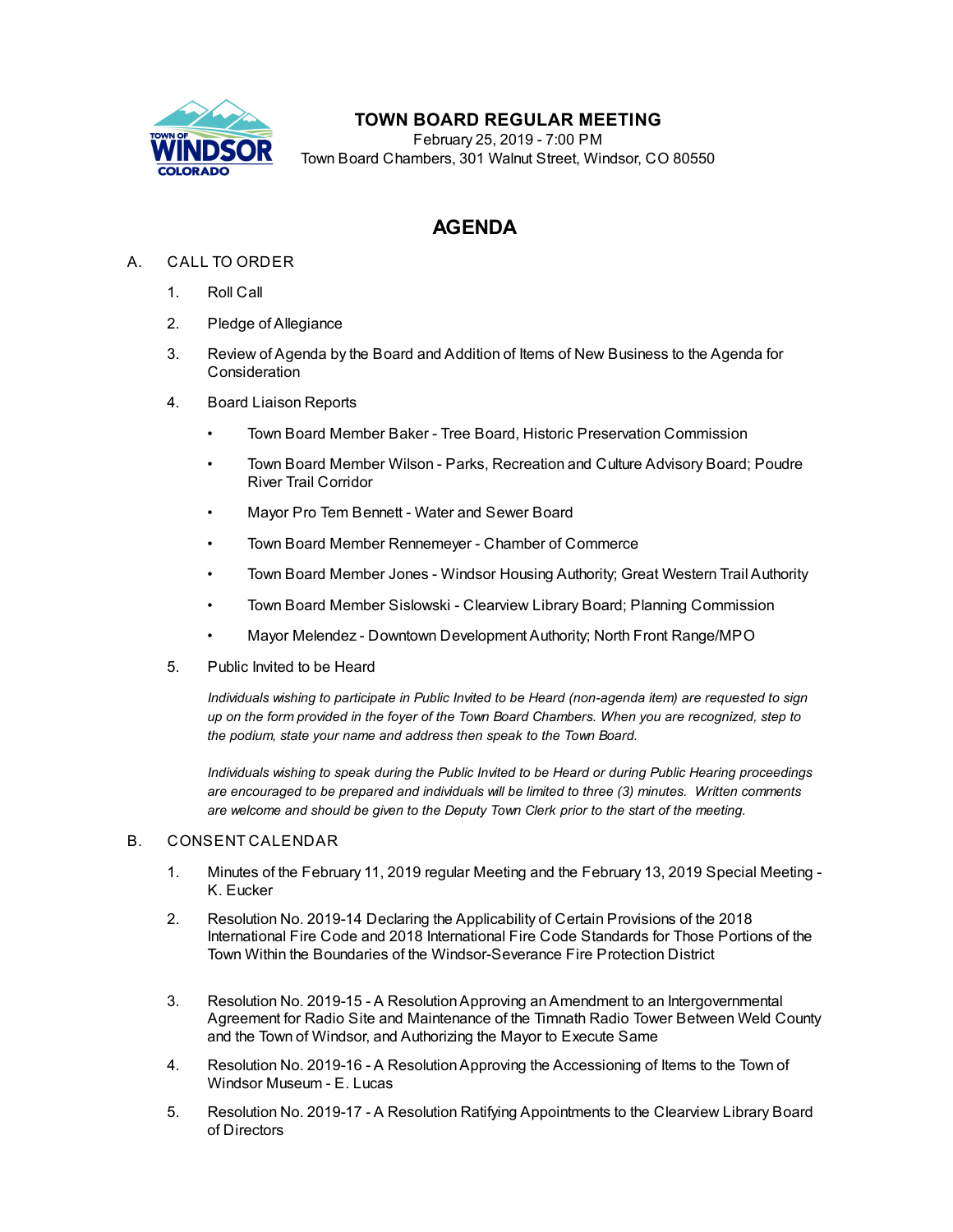

## **TOWN BOARD REGULAR MEETING**

February 25, 2019 - 7:00 PM Town Board Chambers, 301 Walnut Street, Windsor, CO 80550

# **AGENDA**

### A. CALL TO ORDER

- 1. Roll Call
- 2. Pledge of Allegiance
- 3. Review of Agenda by the Board and Addition of Items of New Business to the Agenda for Consideration
- 4. Board Liaison Reports
	- Town Board Member Baker Tree Board, Historic Preservation Commission
	- Town Board Member Wilson Parks, Recreation and Culture Advisory Board; Poudre River Trail Corridor
	- Mayor Pro Tem Bennett Water and Sewer Board
	- Town Board Member Rennemeyer Chamber of Commerce
	- Town Board Member Jones Windsor Housing Authority; Great Western Trail Authority
	- Town Board Member Sislowski Clearview Library Board; Planning Commission
	- Mayor Melendez Downtown Development Authority; North Front Range/MPO
- 5. Public Invited to be Heard

*Individuals wishing to participate in Public Invited to be Heard (non-agenda item) are requested to sign* up on the form provided in the foyer of the Town Board Chambers. When you are recognized, step to *the podium, state your name and address then speak to the Town Board.*

*Individuals wishing to speak during the Public Invited to be Heard or during Public Hearing proceedings are encouraged to be prepared and individuals will be limited to three (3) minutes. Written comments are welcome and should be given to the Deputy Town Clerk prior to the start of the meeting.*

#### B. CONSENT CALENDAR

- 1. Minutes of the February 11, 2019 regular Meeting and the [February](file:///C:/Windows/TEMP/CoverSheet.aspx?ItemID=236&MeetingID=42) 13, 2019 Special Meeting K. Eucker
- 2. Resolution No. 2019-14 Declaring the Applicability of Certain Provisions of the 2018 International Fire Code and 2018 International Fire Code Standards for Those Portions of the Town Within the Boundaries of the [Windsor-Severance](file:///C:/Windows/TEMP/CoverSheet.aspx?ItemID=224&MeetingID=42) Fire Protection District
- 3. Resolution No. 2019-15 A [ResolutionApproving](file:///C:/Windows/TEMP/CoverSheet.aspx?ItemID=234&MeetingID=42) anAmendment to an Intergovernmental Agreement for Radio Site and Maintenance of the Timnath Radio Tower Between Weld County and the Town of Windsor, and Authorizing the Mayor to Execute Same
- 4. Resolution No. 2019-16 A [ResolutionApproving](file:///C:/Windows/TEMP/CoverSheet.aspx?ItemID=222&MeetingID=42) the Accessioning of Items to the Town of Windsor Museum - E. Lucas
- 5. Resolution No. 2019-17 A Resolution Ratifying [Appointments](file:///C:/Windows/TEMP/CoverSheet.aspx?ItemID=231&MeetingID=42) to the Clearview Library Board of Directors